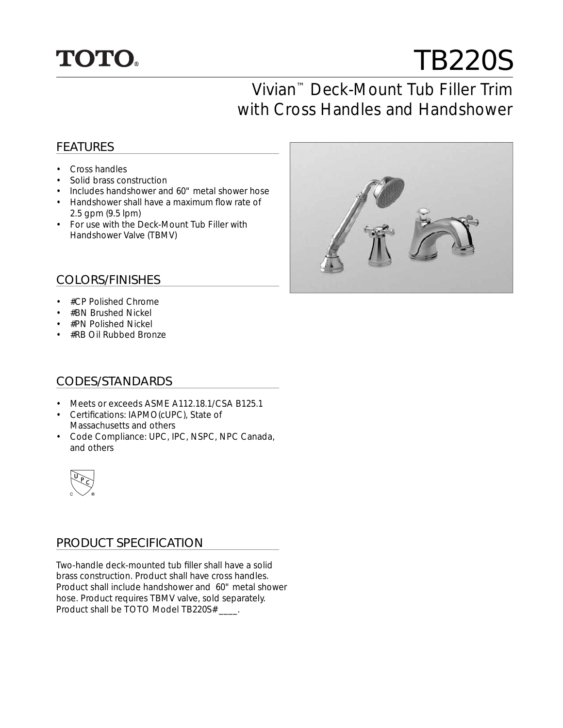

# TB220S

# Vivian™ Deck-Mount Tub Filler Trim with Cross Handles and Handshower

### FEATURES

- Cross handles
- Solid brass construction
- Includes handshower and 60" metal shower hose
- Handshower shall have a maximum flow rate of 2.5 gpm (9.5 lpm)
- For use with the Deck-Mount Tub Filler with Handshower Valve (TBMV)



#### COLORS/FINISHES

- #CP Polished Chrome
- #BN Brushed Nickel
- #PN Polished Nickel
- #RB Oil Rubbed Bronze

#### CODES/STANDARDS

- Meets or exceeds ASME A112.18.1/CSA B125.1
- Certifications: IAPMO(cUPC), State of Massachusetts and others
- Code Compliance: UPC, IPC, NSPC, NPC Canada, and others



#### PRODUCT SPECIFICATION

Two-handle deck-mounted tub filler shall have a solid brass construction. Product shall have cross handles. Product shall include handshower and 60" metal shower hose. Product requires TBMV valve, sold separately. Product shall be TOTO Model TB220S# \_\_\_\_.